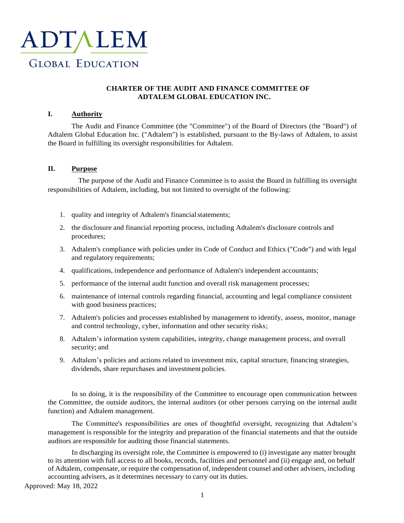

# **CHARTER OF THE AUDIT AND FINANCE COMMITTEE OF ADTALEM GLOBAL EDUCATION INC.**

# **I. Authority**

The Audit and Finance Committee (the "Committee") of the Board of Directors (the "Board") of Adtalem Global Education Inc. ("Adtalem") is established, pursuant to the By-laws of Adtalem, to assist the Board in fulfilling its oversight responsibilities for Adtalem.

#### **II. Purpose**

The purpose of the Audit and Finance Committee is to assist the Board in fulfilling its oversight responsibilities of Adtalem, including, but not limited to oversight of the following:

- 1. quality and integrity of Adtalem's financial statements;
- 2. the disclosure and financial reporting process, including Adtalem's disclosure controls and procedures;
- 3. Adtalem's compliance with policies under its Code of Conduct and Ethics ("Code") and with legal and regulatory requirements;
- 4. qualifications, independence and performance of Adtalem's independent accountants;
- 5. performance of the internal audit function and overall risk management processes;
- 6. maintenance of internal controls regarding financial, accounting and legal compliance consistent with good business practices;
- 7. Adtalem's policies and processes established by management to identify, assess, monitor, manage and control technology, cyber, information and other security risks;
- 8. Adtalem's information system capabilities, integrity, change management process, and overall security; and
- 9. Adtalem's policies and actions related to investment mix, capital structure, financing strategies, dividends, share repurchases and investment policies.

In so doing, it is the responsibility of the Committee to encourage open communication between the Committee, the outside auditors, the internal auditors (or other persons carrying on the internal audit function) and Adtalem management.

The Committee's responsibilities are ones of thoughtful oversight, recognizing that Adtalem's management is responsible for the integrity and preparation of the financial statements and that the outside auditors are responsible for auditing those financial statements.

In discharging its oversight role, the Committee is empowered to (i) investigate any matter brought to its attention with full access to all books, records, facilities and personnel and (ii) engage and, on behalf of Adtalem, compensate, or require the compensation of, independent counsel and other advisers, including accounting advisers, as it determines necessary to carry out its duties.

Approved: May 18, 2022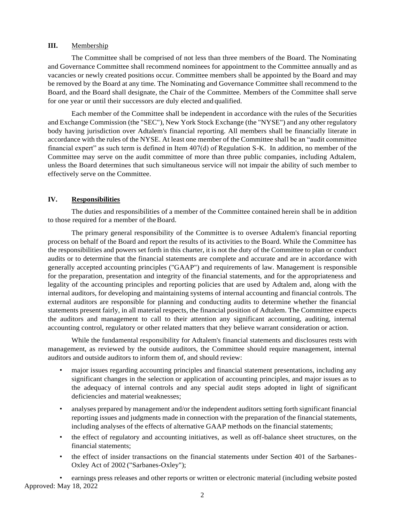#### **III.** Membership

The Committee shall be comprised of not less than three members of the Board. The Nominating and Governance Committee shall recommend nominees for appointment to the Committee annually and as vacancies or newly created positions occur. Committee members shall be appointed by the Board and may be removed by the Board at any time. The Nominating and Governance Committee shall recommend to the Board, and the Board shall designate, the Chair of the Committee. Members of the Committee shall serve for one year or until their successors are duly elected and qualified.

Each member of the Committee shall be independent in accordance with the rules of the Securities and Exchange Commission (the "SEC"), New York Stock Exchange (the "NYSE") and any other regulatory body having jurisdiction over Adtalem's financial reporting. All members shall be financially literate in accordance with the rules of the NYSE. At least one member of the Committee shall be an "audit committee financial expert" as such term is defined in Item  $407(d)$  of Regulation S-K. In addition, no member of the Committee may serve on the audit committee of more than three public companies, including Adtalem, unless the Board determines that such simultaneous service will not impair the ability of such member to effectively serve on the Committee.

# **IV. Responsibilities**

The duties and responsibilities of a member of the Committee contained herein shall be in addition to those required for a member of the Board.

The primary general responsibility of the Committee is to oversee Adtalem's financial reporting process on behalf of the Board and report the results of its activities to the Board. While the Committee has the responsibilities and powers set forth in this charter, it is not the duty of the Committee to plan or conduct audits or to determine that the financial statements are complete and accurate and are in accordance with generally accepted accounting principles ("GAAP") and requirements of law. Management is responsible for the preparation, presentation and integrity of the financial statements, and for the appropriateness and legality of the accounting principles and reporting policies that are used by Adtalem and, along with the internal auditors, for developing and maintaining systems of internal accounting and financial controls. The external auditors are responsible for planning and conducting audits to determine whether the financial statements present fairly, in all material respects, the financial position of Adtalem. The Committee expects the auditors and management to call to their attention any significant accounting, auditing, internal accounting control, regulatory or other related matters that they believe warrant consideration or action.

While the fundamental responsibility for Adtalem's financial statements and disclosures rests with management, as reviewed by the outside auditors, the Committee should require management, internal auditors and outside auditors to inform them of, and should review:

- major issues regarding accounting principles and financial statement presentations, including any significant changes in the selection or application of accounting principles, and major issues as to the adequacy of internal controls and any special audit steps adopted in light of significant deficiencies and material weaknesses;
- analyses prepared by management and/or the independent auditors setting forth significant financial reporting issues and judgments made in connection with the preparation of the financial statements, including analyses of the effects of alternative GAAP methods on the financial statements;
- the effect of regulatory and accounting initiatives, as well as off-balance sheet structures, on the financial statements;
- the effect of insider transactions on the financial statements under Section 401 of the Sarbanes-Oxley Act of 2002 ("Sarbanes-Oxley");

Approved: May 18, 2022 • earnings press releases and other reports or written or electronic material (including website posted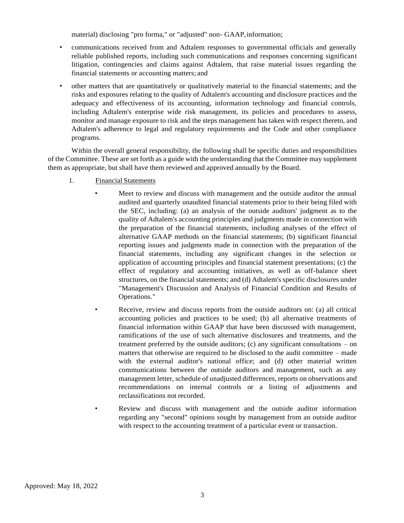material) disclosing "pro forma," or "adjusted" non- GAAP,information;

- communications received from and Adtalem responses to governmental officials and generally reliable published reports, including such communications and responses concerning significant litigation, contingencies and claims against Adtalem, that raise material issues regarding the financial statements or accounting matters; and
- other matters that are quantitatively or qualitatively material to the financial statements; and the risks and exposures relating to the quality of Adtalem's accounting and disclosure practices and the adequacy and effectiveness of its accounting, information technology and financial controls, including Adtalem's enterprise wide risk management, its policies and procedures to assess, monitor and manage exposure to risk and the steps management has taken with respect thereto, and Adtalem's adherence to legal and regulatory requirements and the Code and other compliance programs.

Within the overall general responsibility, the following shall be specific duties and responsibilities of the Committee. These are set forth as a guide with the understanding that the Committee may supplement them as appropriate, but shall have them reviewed and approved annually by the Board.

- 1. Financial Statements
	- Meet to review and discuss with management and the outside auditor the annual audited and quarterly unaudited financial statements prior to their being filed with the SEC, including: (a) an analysis of the outside auditors' judgment as to the quality of Adtalem's accounting principles and judgments made in connection with the preparation of the financial statements, including analyses of the effect of alternative GAAP methods on the financial statements; (b) significant financial reporting issues and judgments made in connection with the preparation of the financial statements, including any significant changes in the selection or application of accounting principles and financial statement presentations; (c) the effect of regulatory and accounting initiatives, as well as off-balance sheet structures, on the financial statements; and (d) Adtalem's specific disclosures under "Management's Discussion and Analysis of Financial Condition and Results of Operations."
	- Receive, review and discuss reports from the outside auditors on: (a) all critical accounting policies and practices to be used; (b) all alternative treatments of financial information within GAAP that have been discussed with management, ramifications of the use of such alternative disclosures and treatments, and the treatment preferred by the outside auditors; (c) any significant consultations – on matters that otherwise are required to be disclosed to the audit committee – made with the external auditor's national office; and (d) other material written communications between the outside auditors and management, such as any management letter, schedule of unadjusted differences, reports on observations and recommendations on internal controls or a listing of adjustments and reclassifications not recorded.
	- Review and discuss with management and the outside auditor information regarding any "second" opinions sought by management from an outside auditor with respect to the accounting treatment of a particular event or transaction.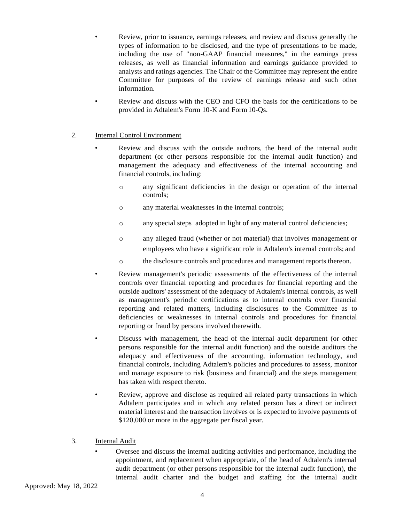- Review, prior to issuance, earnings releases, and review and discuss generally the types of information to be disclosed, and the type of presentations to be made, including the use of "non-GAAP financial measures," in the earnings press releases, as well as financial information and earnings guidance provided to analysts and ratings agencies. The Chair of the Committee may represent the entire Committee for purposes of the review of earnings release and such other information.
- Review and discuss with the CEO and CFO the basis for the certifications to be provided in Adtalem's Form 10-K and Form10-Qs.

# 2. Internal Control Environment

- Review and discuss with the outside auditors, the head of the internal audit department (or other persons responsible for the internal audit function) and management the adequacy and effectiveness of the internal accounting and financial controls, including:
	- o any significant deficiencies in the design or operation of the internal controls;
	- o any material weaknesses in the internal controls;
	- o any special steps adopted in light of any material control deficiencies;
	- o any alleged fraud (whether or not material) that involves management or employees who have a significant role in Adtalem's internal controls; and
	- o the disclosure controls and procedures and management reports thereon.
	- Review management's periodic assessments of the effectiveness of the internal controls over financial reporting and procedures for financial reporting and the outside auditors' assessment of the adequacy of Adtalem's internal controls, as well as management's periodic certifications as to internal controls over financial reporting and related matters, including disclosures to the Committee as to deficiencies or weaknesses in internal controls and procedures for financial reporting or fraud by persons involved therewith.
- Discuss with management, the head of the internal audit department (or other persons responsible for the internal audit function) and the outside auditors the adequacy and effectiveness of the accounting, information technology, and financial controls, including Adtalem's policies and procedures to assess, monitor and manage exposure to risk (business and financial) and the steps management has taken with respect thereto.
- Review, approve and disclose as required all related party transactions in which Adtalem participates and in which any related person has a direct or indirect material interest and the transaction involves or is expected to involve payments of \$120,000 or more in the aggregate per fiscal year.

# 3. Internal Audit

• Oversee and discuss the internal auditing activities and performance, including the appointment, and replacement when appropriate, of the head of Adtalem's internal audit department (or other persons responsible for the internal audit function), the internal audit charter and the budget and staffing for the internal audit

Approved: May 18, 2022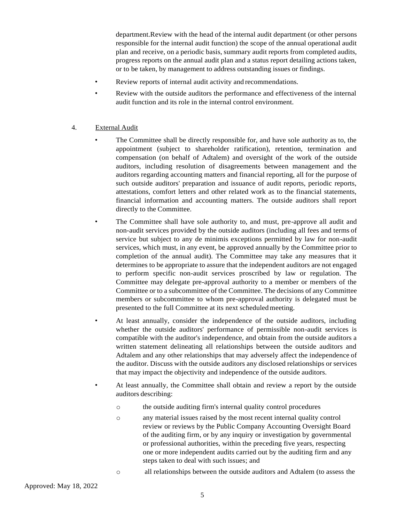department.Review with the head of the internal audit department (or other persons responsible for the internal audit function) the scope of the annual operational audit plan and receive, on a periodic basis, summary audit reports from completed audits, progress reports on the annual audit plan and a status report detailing actions taken, or to be taken, by management to address outstanding issues or findings.

- Review reports of internal audit activity and recommendations.
- Review with the outside auditors the performance and effectiveness of the internal audit function and its role in the internal control environment.

# 4. External Audit

- The Committee shall be directly responsible for, and have sole authority as to, the appointment (subject to shareholder ratification), retention, termination and compensation (on behalf of Adtalem) and oversight of the work of the outside auditors, including resolution of disagreements between management and the auditors regarding accounting matters and financial reporting, all for the purpose of such outside auditors' preparation and issuance of audit reports, periodic reports, attestations, comfort letters and other related work as to the financial statements, financial information and accounting matters. The outside auditors shall report directly to the Committee.
- The Committee shall have sole authority to, and must, pre-approve all audit and non-audit services provided by the outside auditors (including all fees and terms of service but subject to any de minimis exceptions permitted by law for non-audit services, which must, in any event, be approved annually by the Committee prior to completion of the annual audit). The Committee may take any measures that it determines to be appropriate to assure that the independent auditors are not engaged to perform specific non-audit services proscribed by law or regulation. The Committee may delegate pre-approval authority to a member or members of the Committee or to a subcommittee of the Committee. The decisions of any Committee members or subcommittee to whom pre-approval authority is delegated must be presented to the full Committee at its next scheduled meeting.
- At least annually, consider the independence of the outside auditors, including whether the outside auditors' performance of permissible non-audit services is compatible with the auditor's independence, and obtain from the outside auditors a written statement delineating all relationships between the outside auditors and Adtalem and any other relationships that may adversely affect the independence of the auditor. Discuss with the outside auditors any disclosed relationships or services that may impact the objectivity and independence of the outside auditors.
- At least annually, the Committee shall obtain and review a report by the outside auditors describing:
	- o the outside auditing firm's internal quality control procedures
	- o any material issues raised by the most recent internal quality control review or reviews by the Public Company Accounting Oversight Board of the auditing firm, or by any inquiry or investigation by governmental or professional authorities, within the preceding five years, respecting one or more independent audits carried out by the auditing firm and any steps taken to deal with such issues; and
	- o all relationships between the outside auditors and Adtalem (to assess the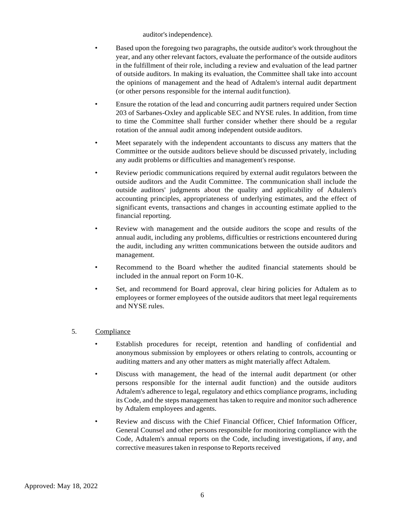auditor's independence).

- Based upon the foregoing two paragraphs, the outside auditor's work throughout the year, and any other relevant factors, evaluate the performance of the outside auditors in the fulfillment of their role, including a review and evaluation of the lead partner of outside auditors. In making its evaluation, the Committee shall take into account the opinions of management and the head of Adtalem's internal audit department (or other persons responsible for the internal audit function).
- Ensure the rotation of the lead and concurring audit partners required under Section 203 of Sarbanes-Oxley and applicable SEC and NYSE rules. In addition, from time to time the Committee shall further consider whether there should be a regular rotation of the annual audit among independent outside auditors.
- Meet separately with the independent accountants to discuss any matters that the Committee or the outside auditors believe should be discussed privately, including any audit problems or difficulties and management's response.
- Review periodic communications required by external audit regulators between the outside auditors and the Audit Committee. The communication shall include the outside auditors' judgments about the quality and applicability of Adtalem's accounting principles, appropriateness of underlying estimates, and the effect of significant events, transactions and changes in accounting estimate applied to the financial reporting.
- Review with management and the outside auditors the scope and results of the annual audit, including any problems, difficulties or restrictions encountered during the audit, including any written communications between the outside auditors and management.
- Recommend to the Board whether the audited financial statements should be included in the annual report on Form10-K.
- Set, and recommend for Board approval, clear hiring policies for Adtalem as to employees or former employees of the outside auditors that meet legal requirements and NYSE rules.

# 5. Compliance

- Establish procedures for receipt, retention and handling of confidential and anonymous submission by employees or others relating to controls, accounting or auditing matters and any other matters as might materially affect Adtalem.
- Discuss with management, the head of the internal audit department (or other persons responsible for the internal audit function) and the outside auditors Adtalem's adherence to legal, regulatory and ethics compliance programs, including its Code, and the steps management has taken to require and monitor such adherence by Adtalem employees and agents.
- Review and discuss with the Chief Financial Officer, Chief Information Officer, General Counsel and other persons responsible for monitoring compliance with the Code, Adtalem's annual reports on the Code, including investigations, if any, and corrective measures taken in response to Reports received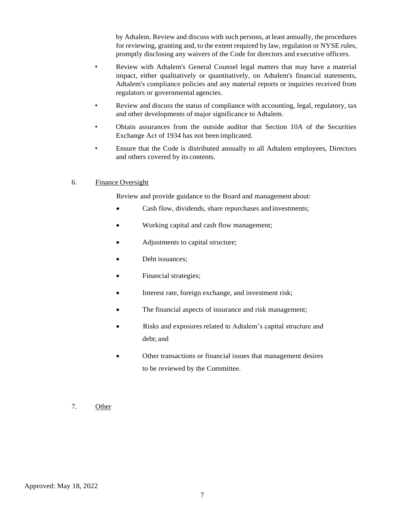by Adtalem. Review and discuss with such persons, at least annually, the procedures for reviewing, granting and, to the extent required by law, regulation or NYSE rules, promptly disclosing any waivers of the Code for directors and executive officers.

- Review with Adtalem's General Counsel legal matters that may have a material impact, either qualitatively or quantitatively, on Adtalem's financial statements, Adtalem's compliance policies and any material reports or inquiries received from regulators or governmental agencies.
- Review and discuss the status of compliance with accounting, legal, regulatory, tax and other developments of major significance to Adtalem.
- Obtain assurances from the outside auditor that Section 10A of the Securities Exchange Act of 1934 has not been implicated.
- Ensure that the Code is distributed annually to all Adtalem employees, Directors and others covered by its contents.

#### 6. Finance Oversight

Review and provide guidance to the Board and management about:

- Cash flow, dividends, share repurchases and investments;
- Working capital and cash flow management;
- Adjustments to capital structure;
- Debt issuances;
- Financial strategies;
- Interest rate, foreign exchange, and investment risk;
- The financial aspects of insurance and risk management;
- Risks and exposures related to Adtalem's capital structure and debt; and
- Other transactions or financial issues that management desires to be reviewed by the Committee.
- 7. Other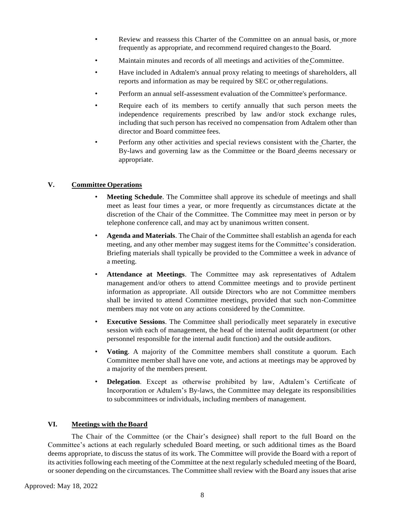- Review and reassess this Charter of the Committee on an annual basis, or more frequently as appropriate, and recommend required changesto the Board.
- Maintain minutes and records of all meetings and activities of the Committee.
- Have included in Adtalem's annual proxy relating to meetings of shareholders, all reports and information as may be required by SEC or otherregulations.
- Perform an annual self-assessment evaluation of the Committee's performance.
- Require each of its members to certify annually that such person meets the independence requirements prescribed by law and/or stock exchange rules, including that such person has received no compensation from Adtalem other than director and Board committee fees.
- Perform any other activities and special reviews consistent with the Charter, the By-laws and governing law as the Committee or the Board deems necessary or appropriate.

# **V. Committee Operations**

- **Meeting Schedule**. The Committee shall approve its schedule of meetings and shall meet as least four times a year, or more frequently as circumstances dictate at the discretion of the Chair of the Committee. The Committee may meet in person or by telephone conference call, and may act by unanimous written consent.
- **Agenda and Materials**. The Chair of the Committee shall establish an agenda for each meeting, and any other member may suggest items for the Committee's consideration. Briefing materials shall typically be provided to the Committee a week in advance of a meeting.
- **Attendance at Meetings**. The Committee may ask representatives of Adtalem management and/or others to attend Committee meetings and to provide pertinent information as appropriate. All outside Directors who are not Committee members shall be invited to attend Committee meetings, provided that such non-Committee members may not vote on any actions considered by theCommittee.
- **Executive Sessions**. The Committee shall periodically meet separately in executive session with each of management, the head of the internal audit department (or other personnel responsible for the internal audit function) and the outside auditors.
- **Voting**. A majority of the Committee members shall constitute a quorum. Each Committee member shall have one vote, and actions at meetings may be approved by a majority of the members present.
- **Delegation**. Except as otherwise prohibited by law, Adtalem's Certificate of Incorporation or Adtalem's By-laws, the Committee may delegate its responsibilities to subcommittees or individuals, including members of management.

# **VI. Meetings with the Board**

The Chair of the Committee (or the Chair's designee) shall report to the full Board on the Committee's actions at each regularly scheduled Board meeting, or such additional times as the Board deems appropriate, to discuss the status of its work. The Committee will provide the Board with a report of its activities following each meeting of the Committee at the next regularly scheduled meeting of the Board, or sooner depending on the circumstances. The Committee shall review with the Board any issues that arise